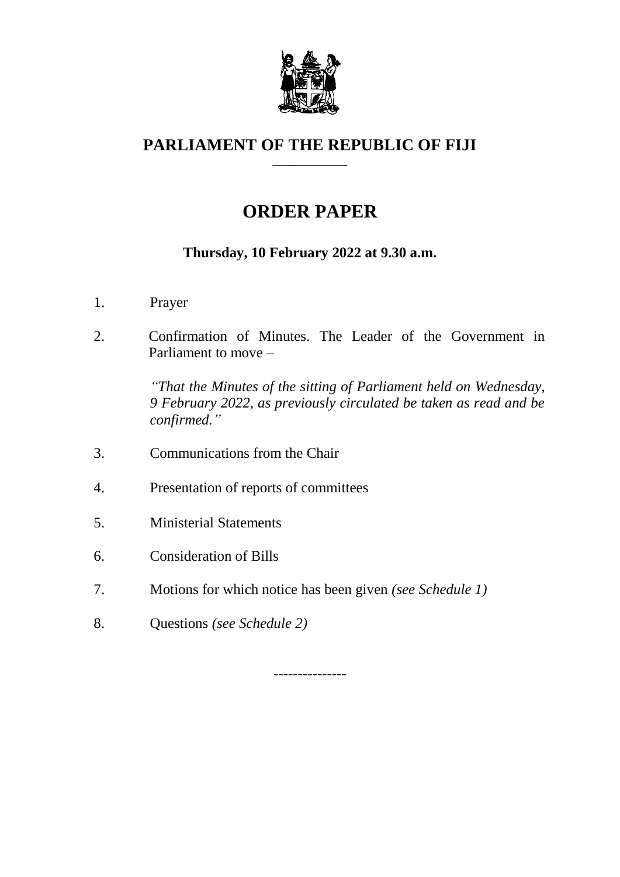

### **PARLIAMENT OF THE REPUBLIC OF FIJI \_\_\_\_\_\_\_\_\_\_\_\_\_**

# **ORDER PAPER**

## **Thursday, 10 February 2022 at 9.30 a.m.**

- 1. Prayer
- 2. Confirmation of Minutes. The Leader of the Government in Parliament to move –

*"That the Minutes of the sitting of Parliament held on Wednesday, 9 February 2022, as previously circulated be taken as read and be confirmed."*

- 3. Communications from the Chair
- 4. Presentation of reports of committees
- 5. Ministerial Statements
- 6. Consideration of Bills
- 7. Motions for which notice has been given *(see Schedule 1)*
- 8. Questions *(see Schedule 2)*

---------------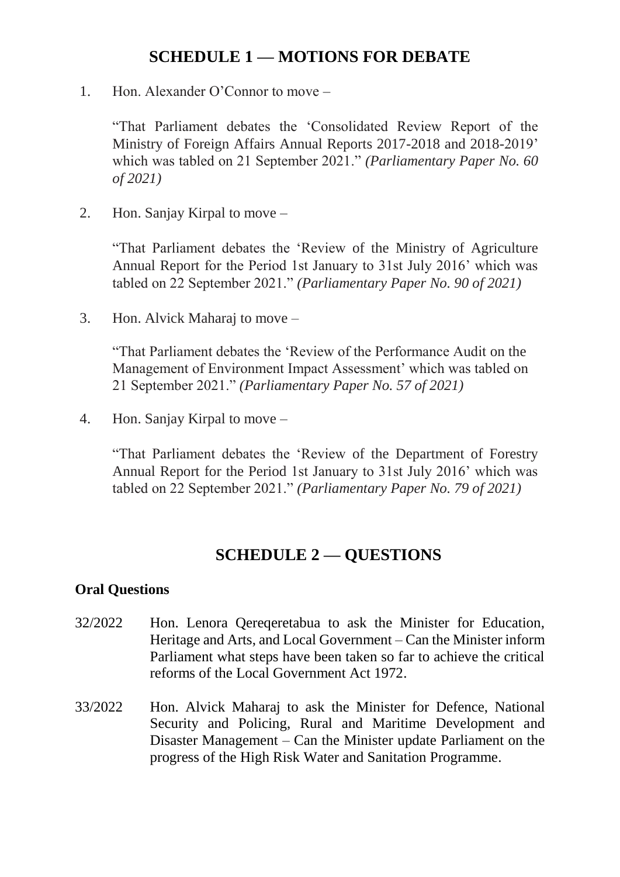## **SCHEDULE 1 — MOTIONS FOR DEBATE**

1. Hon. Alexander O'Connor to move –

"That Parliament debates the 'Consolidated Review Report of the Ministry of Foreign Affairs Annual Reports 2017-2018 and 2018-2019' which was tabled on 21 September 2021." *(Parliamentary Paper No. 60 of 2021)* 

2. Hon. Sanjay Kirpal to move –

"That Parliament debates the 'Review of the Ministry of Agriculture Annual Report for the Period 1st January to 31st July 2016' which was tabled on 22 September 2021." *(Parliamentary Paper No. 90 of 2021)*

3. Hon. Alvick Maharaj to move –

"That Parliament debates the 'Review of the Performance Audit on the Management of Environment Impact Assessment' which was tabled on 21 September 2021." *(Parliamentary Paper No. 57 of 2021)*

4. Hon. Sanjay Kirpal to move –

"That Parliament debates the 'Review of the Department of Forestry Annual Report for the Period 1st January to 31st July 2016' which was tabled on 22 September 2021." *(Parliamentary Paper No. 79 of 2021)*

## **SCHEDULE 2 — QUESTIONS**

#### **Oral Questions**

- 32/2022 Hon. Lenora Qereqeretabua to ask the Minister for Education, Heritage and Arts, and Local Government – Can the Minister inform Parliament what steps have been taken so far to achieve the critical reforms of the Local Government Act 1972.
- 33/2022 Hon. Alvick Maharaj to ask the Minister for Defence, National Security and Policing, Rural and Maritime Development and Disaster Management – Can the Minister update Parliament on the progress of the High Risk Water and Sanitation Programme.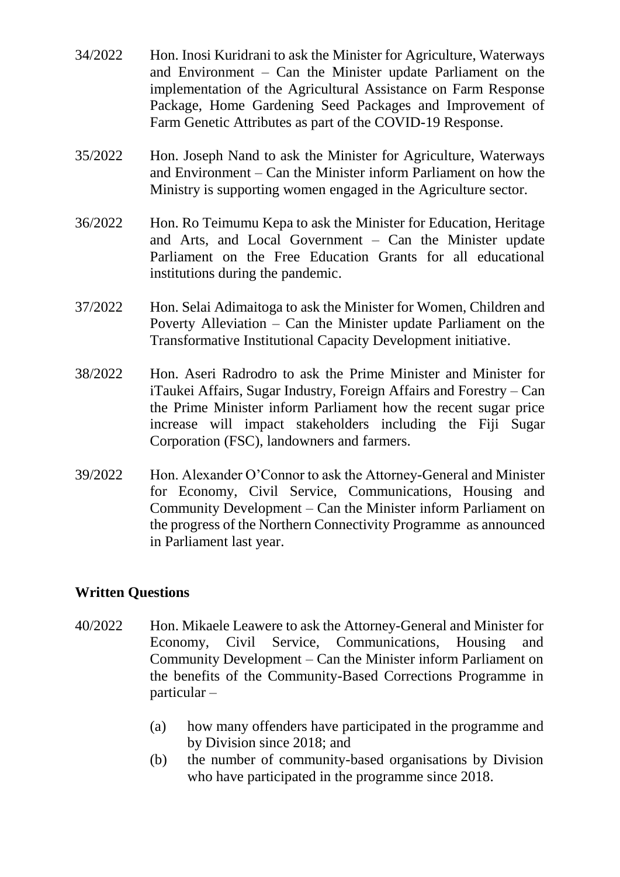- 34/2022 Hon. Inosi Kuridrani to ask the Minister for Agriculture, Waterways and Environment – Can the Minister update Parliament on the implementation of the Agricultural Assistance on Farm Response Package, Home Gardening Seed Packages and Improvement of Farm Genetic Attributes as part of the COVID-19 Response.
- 35/2022 Hon. Joseph Nand to ask the Minister for Agriculture, Waterways and Environment – Can the Minister inform Parliament on how the Ministry is supporting women engaged in the Agriculture sector.
- 36/2022 Hon. Ro Teimumu Kepa to ask the Minister for Education, Heritage and Arts, and Local Government – Can the Minister update Parliament on the Free Education Grants for all educational institutions during the pandemic.
- 37/2022 Hon. Selai Adimaitoga to ask the Minister for Women, Children and Poverty Alleviation – Can the Minister update Parliament on the Transformative Institutional Capacity Development initiative.
- 38/2022 Hon. Aseri Radrodro to ask the Prime Minister and Minister for iTaukei Affairs, Sugar Industry, Foreign Affairs and Forestry – Can the Prime Minister inform Parliament how the recent sugar price increase will impact stakeholders including the Fiji Sugar Corporation (FSC), landowners and farmers.
- 39/2022 Hon. Alexander O'Connor to ask the Attorney-General and Minister for Economy, Civil Service, Communications, Housing and Community Development – Can the Minister inform Parliament on the progress of the Northern Connectivity Programme as announced in Parliament last year.

#### **Written Questions**

- 40/2022 Hon. Mikaele Leawere to ask the Attorney-General and Minister for Economy, Civil Service, Communications, Housing and Community Development – Can the Minister inform Parliament on the benefits of the Community-Based Corrections Programme in particular –
	- (a) how many offenders have participated in the programme and by Division since 2018; and
	- (b) the number of community-based organisations by Division who have participated in the programme since 2018.